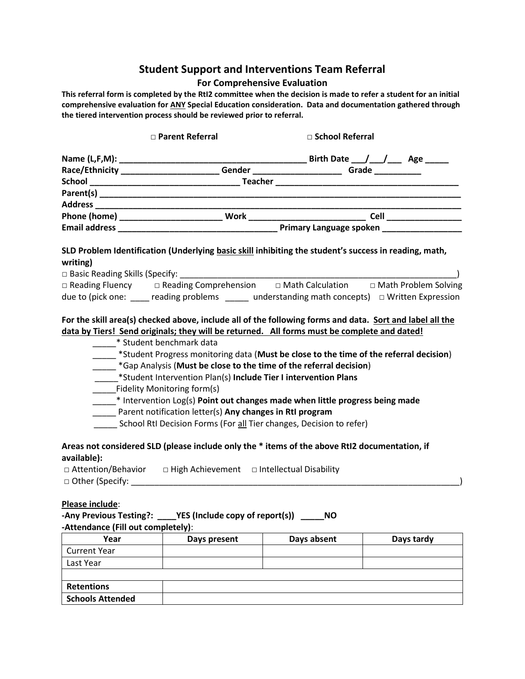# **Student Support and Interventions Team Referral**

## **For Comprehensive Evaluation**

**This referral form is completed by the RtI2 committee when the decision is made to refer a student for an initial comprehensive evaluation for ANY Special Education consideration. Data and documentation gathered through the tiered intervention process should be reviewed prior to referral.**

|                                    | □ Parent Referral                                                                                                                                                                                                                                                                                                                                                                                                                                                                                                                                                                                                               |             | □ School Referral |  |  |  |
|------------------------------------|---------------------------------------------------------------------------------------------------------------------------------------------------------------------------------------------------------------------------------------------------------------------------------------------------------------------------------------------------------------------------------------------------------------------------------------------------------------------------------------------------------------------------------------------------------------------------------------------------------------------------------|-------------|-------------------|--|--|--|
|                                    |                                                                                                                                                                                                                                                                                                                                                                                                                                                                                                                                                                                                                                 |             |                   |  |  |  |
|                                    |                                                                                                                                                                                                                                                                                                                                                                                                                                                                                                                                                                                                                                 |             |                   |  |  |  |
|                                    |                                                                                                                                                                                                                                                                                                                                                                                                                                                                                                                                                                                                                                 |             |                   |  |  |  |
|                                    |                                                                                                                                                                                                                                                                                                                                                                                                                                                                                                                                                                                                                                 |             |                   |  |  |  |
|                                    |                                                                                                                                                                                                                                                                                                                                                                                                                                                                                                                                                                                                                                 |             |                   |  |  |  |
|                                    |                                                                                                                                                                                                                                                                                                                                                                                                                                                                                                                                                                                                                                 |             |                   |  |  |  |
|                                    |                                                                                                                                                                                                                                                                                                                                                                                                                                                                                                                                                                                                                                 |             |                   |  |  |  |
| writing)                           | SLD Problem Identification (Underlying basic skill inhibiting the student's success in reading, math,                                                                                                                                                                                                                                                                                                                                                                                                                                                                                                                           |             |                   |  |  |  |
|                                    | □ Reading Fluency  □ Reading Comprehension  □ Math Calculation □ Math Problem Solving                                                                                                                                                                                                                                                                                                                                                                                                                                                                                                                                           |             |                   |  |  |  |
|                                    | due to (pick one: $\_\_\_\_$ reading problems $\_\_\_\_$ understanding math concepts) $\_\_$ Written Expression                                                                                                                                                                                                                                                                                                                                                                                                                                                                                                                 |             |                   |  |  |  |
| available):                        | *Gap Analysis (Must be close to the time of the referral decision)<br>*Student Intervention Plan(s) Include Tier I intervention Plans<br>Fidelity Monitoring form(s)<br>$*$ Intervention Log(s) Point out changes made when little progress being made<br>Parent notification letter(s) Any changes in Rtl program<br>School Rtl Decision Forms (For all Tier changes, Decision to refer)<br>Areas not considered SLD (please include only the * items of the above RtI2 documentation, if<br>□ Attention/Behavior □ High Achievement □ Intellectual Disability<br>□ Other (Specify: <u>www.communitytics.communitytics.com</u> |             |                   |  |  |  |
| Please include:                    | -Any Previous Testing?: ____YES (Include copy of report(s)) _____NO                                                                                                                                                                                                                                                                                                                                                                                                                                                                                                                                                             |             |                   |  |  |  |
| -Attendance (Fill out completely): |                                                                                                                                                                                                                                                                                                                                                                                                                                                                                                                                                                                                                                 |             |                   |  |  |  |
| Year                               | Days present                                                                                                                                                                                                                                                                                                                                                                                                                                                                                                                                                                                                                    | Days absent | Days tardy        |  |  |  |
| <b>Current Year</b>                |                                                                                                                                                                                                                                                                                                                                                                                                                                                                                                                                                                                                                                 |             |                   |  |  |  |
| Last Year                          |                                                                                                                                                                                                                                                                                                                                                                                                                                                                                                                                                                                                                                 |             |                   |  |  |  |
| <b>Retentions</b>                  |                                                                                                                                                                                                                                                                                                                                                                                                                                                                                                                                                                                                                                 |             |                   |  |  |  |
| <b>Schools Attended</b>            |                                                                                                                                                                                                                                                                                                                                                                                                                                                                                                                                                                                                                                 |             |                   |  |  |  |
|                                    |                                                                                                                                                                                                                                                                                                                                                                                                                                                                                                                                                                                                                                 |             |                   |  |  |  |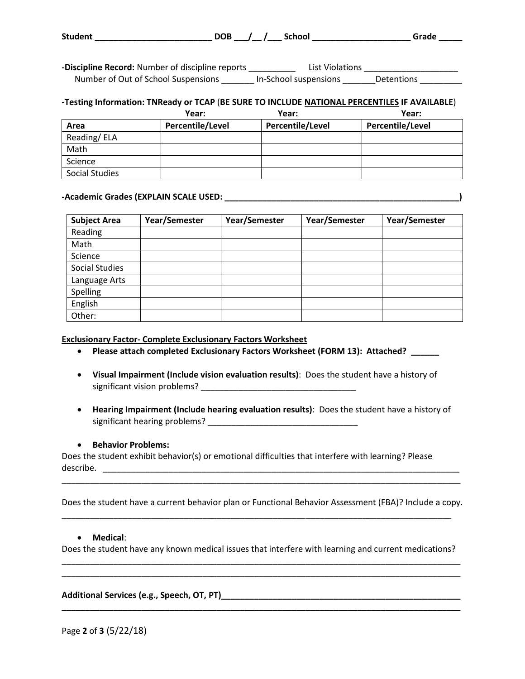| <b>Student</b> | $DOB$ / / | <b>School</b> |  | Grade |  |
|----------------|-----------|---------------|--|-------|--|
|                |           |               |  |       |  |

-Discipline Record: Number of discipline reports \_\_\_\_\_\_\_\_\_\_\_ List Violations \_\_\_\_\_\_\_\_\_\_ Number of Out of School Suspensions \_\_\_\_\_\_\_ In-School suspensions \_\_\_\_\_\_\_Detentions \_\_\_\_\_\_

#### **-Testing Information: TNReady or TCAP** (**BE SURE TO INCLUDE NATIONAL PERCENTILES IF AVAILABLE**)

|                | Year:            | Year:            | Year:            |
|----------------|------------------|------------------|------------------|
| Area           | Percentile/Level | Percentile/Level | Percentile/Level |
| Reading/ELA    |                  |                  |                  |
| Math           |                  |                  |                  |
| Science        |                  |                  |                  |
| Social Studies |                  |                  |                  |

#### **-Academic Grades (EXPLAIN SCALE USED: \_\_\_\_\_\_\_\_\_\_\_\_\_\_\_\_\_\_\_\_\_\_\_\_\_\_\_\_\_\_\_\_\_\_\_\_\_\_\_\_\_\_\_\_\_\_\_\_\_\_)**

| <b>Subject Area</b>   | Year/Semester | Year/Semester | Year/Semester | Year/Semester |
|-----------------------|---------------|---------------|---------------|---------------|
| Reading               |               |               |               |               |
| Math                  |               |               |               |               |
| Science               |               |               |               |               |
| <b>Social Studies</b> |               |               |               |               |
| Language Arts         |               |               |               |               |
| Spelling              |               |               |               |               |
| English               |               |               |               |               |
| Other:                |               |               |               |               |

#### **Exclusionary Factor- Complete Exclusionary Factors Worksheet**

- **Please attach completed Exclusionary Factors Worksheet (FORM 13): Attached? \_\_\_\_\_\_**
- **Visual Impairment (Include vision evaluation results)**: Does the student have a history of significant vision problems? \_\_\_\_\_\_\_\_\_\_\_\_\_\_\_\_\_\_\_\_\_\_\_\_\_\_\_\_\_\_\_\_\_
- **Hearing Impairment (Include hearing evaluation results)**: Does the student have a history of significant hearing problems? \_\_\_\_\_\_\_\_\_\_\_\_\_\_\_\_\_\_\_\_\_\_\_\_\_\_\_\_\_\_\_\_

## **Behavior Problems:**

Does the student exhibit behavior(s) or emotional difficulties that interfere with learning? Please describe.

Does the student have a current behavior plan or Functional Behavior Assessment (FBA)? Include a copy.

\_\_\_\_\_\_\_\_\_\_\_\_\_\_\_\_\_\_\_\_\_\_\_\_\_\_\_\_\_\_\_\_\_\_\_\_\_\_\_\_\_\_\_\_\_\_\_\_\_\_\_\_\_\_\_\_\_\_\_\_\_\_\_\_\_\_\_\_\_\_\_\_\_\_\_\_\_\_\_\_\_\_\_

\_\_\_\_\_\_\_\_\_\_\_\_\_\_\_\_\_\_\_\_\_\_\_\_\_\_\_\_\_\_\_\_\_\_\_\_\_\_\_\_\_\_\_\_\_\_\_\_\_\_\_\_\_\_\_\_\_\_\_\_\_\_\_\_\_\_\_\_\_\_\_\_\_\_\_\_\_\_\_\_\_\_\_\_\_

## **Medical**:

Does the student have any known medical issues that interfere with learning and current medications? \_\_\_\_\_\_\_\_\_\_\_\_\_\_\_\_\_\_\_\_\_\_\_\_\_\_\_\_\_\_\_\_\_\_\_\_\_\_\_\_\_\_\_\_\_\_\_\_\_\_\_\_\_\_\_\_\_\_\_\_\_\_\_\_\_\_\_\_\_\_\_\_\_\_\_\_\_\_\_\_\_\_\_\_\_

\_\_\_\_\_\_\_\_\_\_\_\_\_\_\_\_\_\_\_\_\_\_\_\_\_\_\_\_\_\_\_\_\_\_\_\_\_\_\_\_\_\_\_\_\_\_\_\_\_\_\_\_\_\_\_\_\_\_\_\_\_\_\_\_\_\_\_\_\_\_\_\_\_\_\_\_\_\_\_\_\_\_\_\_\_

**\_\_\_\_\_\_\_\_\_\_\_\_\_\_\_\_\_\_\_\_\_\_\_\_\_\_\_\_\_\_\_\_\_\_\_\_\_\_\_\_\_\_\_\_\_\_\_\_\_\_\_\_\_\_\_\_\_\_\_\_\_\_\_\_\_\_\_\_\_\_\_\_\_\_\_\_\_\_\_\_\_\_\_\_\_**

## **Additional Services (e.g., Speech, OT, PT)\_\_\_\_\_\_\_\_\_\_\_\_\_\_\_\_\_\_\_\_\_\_\_\_\_\_\_\_\_\_\_\_\_\_\_\_\_\_\_\_\_\_\_\_\_\_\_\_\_\_\_**

Page **2** of **3** (5/22/18)